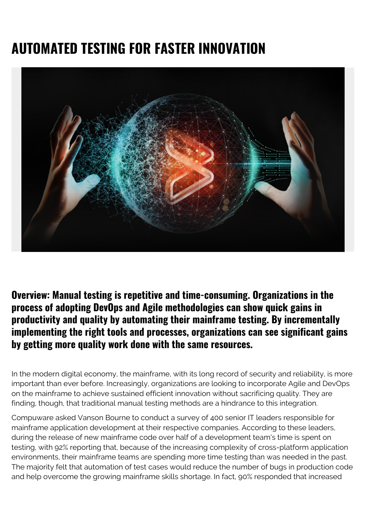# **AUTOMATED TESTING FOR FASTER INNOVATION**



**Overview: Manual testing is repetitive and time-consuming. Organizations in the process of adopting DevOps and Agile methodologies can show quick gains in productivity and quality by automating their mainframe testing. By incrementally implementing the right tools and processes, organizations can see significant gains by getting more quality work done with the same resources.**

In the modern digital economy, the mainframe, with its long record of security and reliability, is more important than ever before. Increasingly, organizations are looking to incorporate Agile and DevOps on the mainframe to achieve sustained efficient innovation without sacrificing quality. They are finding, though, that traditional manual testing methods are a hindrance to this integration.

Compuware asked Vanson Bourne to conduct a survey of 400 senior IT leaders responsible for mainframe application development at their respective companies. According to these leaders, during the release of new mainframe code over half of a development team's time is spent on testing, with 92% reporting that, because of the increasing complexity of cross-platform application environments, their mainframe teams are spending more time testing than was needed in the past. The majority felt that automation of test cases would reduce the number of bugs in production code and help overcome the growing mainframe skills shortage. In fact, 90% responded that increased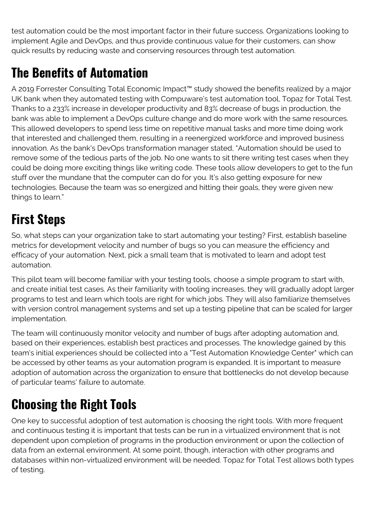test automation could be the most important factor in their future success. Organizations looking to implement Agile and DevOps, and thus provide continuous value for their customers, can show quick results by reducing waste and conserving resources through test automation.

# **The Benefits of Automation**

A 2019 Forrester Consulting Total Economic Impact™ study showed the benefits realized by a major UK bank when they automated testing with Compuware's test automation tool, Topaz for Total Test. Thanks to a 233% increase in developer productivity and 83% decrease of bugs in production, the bank was able to implement a DevOps culture change and do more work with the same resources. This allowed developers to spend less time on repetitive manual tasks and more time doing work that interested and challenged them, resulting in a reenergized workforce and improved business innovation. As the bank's DevOps transformation manager stated, "Automation should be used to remove some of the tedious parts of the job. No one wants to sit there writing test cases when they could be doing more exciting things like writing code. These tools allow developers to get to the fun stuff over the mundane that the computer can do for you. It's also getting exposure for new technologies. Because the team was so energized and hitting their goals, they were given new things to learn."

#### **First Steps**

So, what steps can your organization take to start automating your testing? First, establish baseline metrics for development velocity and number of bugs so you can measure the efficiency and efficacy of your automation. Next, pick a small team that is motivated to learn and adopt test automation.

This pilot team will become familiar with your testing tools, choose a simple program to start with, and create initial test cases. As their familiarity with tooling increases, they will gradually adopt larger programs to test and learn which tools are right for which jobs. They will also familiarize themselves with version control management systems and set up a testing pipeline that can be scaled for larger implementation.

The team will continuously monitor velocity and number of bugs after adopting automation and, based on their experiences, establish best practices and processes. The knowledge gained by this team's initial experiences should be collected into a "Test Automation Knowledge Center" which can be accessed by other teams as your automation program is expanded. It is important to measure adoption of automation across the organization to ensure that bottlenecks do not develop because of particular teams' failure to automate.

# **Choosing the Right Tools**

One key to successful adoption of test automation is choosing the right tools. With more frequent and continuous testing it is important that tests can be run in a virtualized environment that is not dependent upon completion of programs in the production environment or upon the collection of data from an external environment. At some point, though, interaction with other programs and databases within non-virtualized environment will be needed. Topaz for Total Test allows both types of testing.